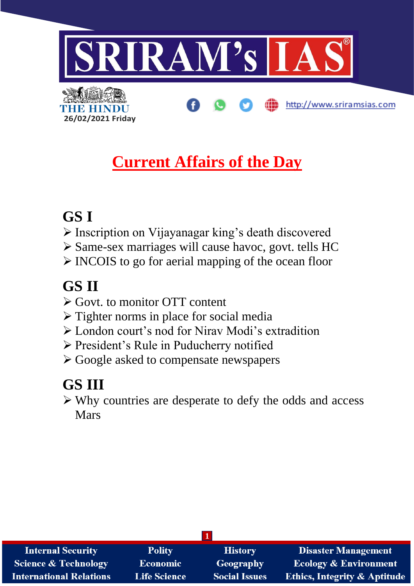

## **Current Affairs of the Day**

## **GS I**

**26/02/2021 Friday**

- ➢ Inscription on Vijayanagar king's death discovered
- ➢ Same-sex marriages will cause havoc, govt. tells HC
- ➢ INCOIS to go for aerial mapping of the ocean floor

## **GS II**

- ➢ Govt. to monitor OTT content
- ➢ Tighter norms in place for social media
- ➢ London court's nod for Nirav Modi's extradition
- ➢ President's Rule in Puducherry notified
- ➢ Google asked to compensate newspapers

# **GS III**

➢ Why countries are desperate to defy the odds and access Mars

| <b>Internal Security</b>        | <b>Polity</b>       | <b>History</b>       | Disaster Management                     |  |
|---------------------------------|---------------------|----------------------|-----------------------------------------|--|
| <b>Science &amp; Technology</b> | <b>Economic</b>     | <b>Geography</b>     | <b>Ecology &amp; Environment</b>        |  |
| <b>International Relations</b>  | <b>Life Science</b> | <b>Social Issues</b> | <b>Ethics, Integrity &amp; Aptitude</b> |  |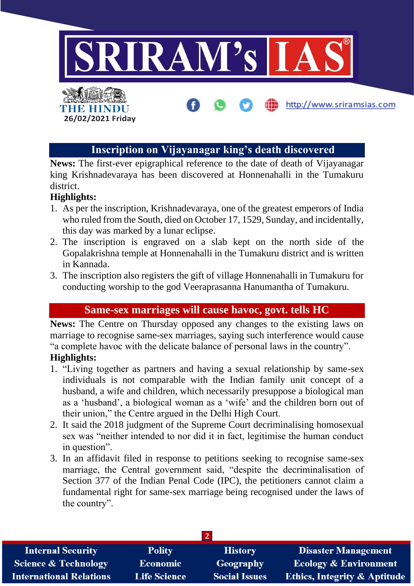

## **Inscription on Vijayanagar king's death discovered**

**News:** The first-ever epigraphical reference to the date of death of Vijayanagar king Krishnadevaraya has been discovered at Honnenahalli in the Tumakuru district.

#### **Highlights:**

- 1. As per the inscription, Krishnadevaraya, one of the greatest emperors of India who ruled from the South, died on October 17, 1529, Sunday, and incidentally, this day was marked by a lunar eclipse.
- 2. The inscription is engraved on a slab kept on the north side of the Gopalakrishna temple at Honnenahalli in the Tumakuru district and is written in Kannada.
- 3. The inscription also registers the gift of village Honnenahalli in Tumakuru for conducting worship to the god Veeraprasanna Hanumantha of Tumakuru.

### **Same-sex marriages will cause havoc, govt. tells HC**

**News:** The Centre on Thursday opposed any changes to the existing laws on marriage to recognise same-sex marriages, saying such interference would cause "a complete havoc with the delicate balance of personal laws in the country".

#### **Highlights:**

- 1. "Living together as partners and having a sexual relationship by same-sex individuals is not comparable with the Indian family unit concept of a husband, a wife and children, which necessarily presuppose a biological man as a 'husband', a biological woman as a 'wife' and the children born out of their union," the Centre argued in the Delhi High Court.
- 2. It said the 2018 judgment of the Supreme Court decriminalising homosexual sex was "neither intended to nor did it in fact, legitimise the human conduct in question".
- 3. In an affidavit filed in response to petitions seeking to recognise same-sex marriage, the Central government said, "despite the decriminalisation of Section 377 of the Indian Penal Code (IPC), the petitioners cannot claim a fundamental right for same-sex marriage being recognised under the laws of the country".

| <b>Internal Security</b>        | <b>Polity</b>       | <b>History</b>       | <b>Disaster Management</b>              |  |
|---------------------------------|---------------------|----------------------|-----------------------------------------|--|
| <b>Science &amp; Technology</b> | <b>Economic</b>     | Geography            | <b>Ecology &amp; Environment</b>        |  |
| <b>International Relations</b>  | <b>Life Science</b> | <b>Social Issues</b> | <b>Ethics, Integrity &amp; Aptitude</b> |  |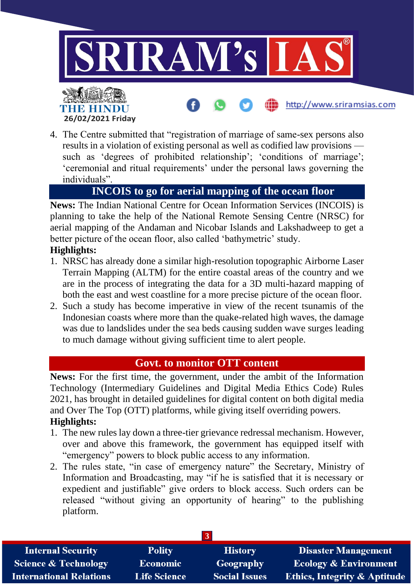

4. The Centre submitted that "registration of marriage of same-sex persons also results in a violation of existing personal as well as codified law provisions such as 'degrees of prohibited relationship'; 'conditions of marriage'; 'ceremonial and ritual requirements' under the personal laws governing the individuals".

## **INCOIS to go for aerial mapping of the ocean floor**

**News:** The Indian National Centre for Ocean Information Services (INCOIS) is planning to take the help of the National Remote Sensing Centre (NRSC) for aerial mapping of the Andaman and Nicobar Islands and Lakshadweep to get a better picture of the ocean floor, also called 'bathymetric' study.

#### **Highlights:**

**26/02/2021 Friday**

THE HINDI

- 1. NRSC has already done a similar high-resolution topographic Airborne Laser Terrain Mapping (ALTM) for the entire coastal areas of the country and we are in the process of integrating the data for a 3D multi-hazard mapping of both the east and west coastline for a more precise picture of the ocean floor.
- 2. Such a study has become imperative in view of the recent tsunamis of the Indonesian coasts where more than the quake-related high waves, the damage was due to landslides under the sea beds causing sudden wave surges leading to much damage without giving sufficient time to alert people.

#### **Govt. to monitor OTT content**

**News:** For the first time, the government, under the ambit of the Information Technology (Intermediary Guidelines and Digital Media Ethics Code) Rules 2021, has brought in detailed guidelines for digital content on both digital media and Over The Top (OTT) platforms, while giving itself overriding powers. **Highlights:**

- 1. The new rules lay down a three-tier grievance redressal mechanism. However, over and above this framework, the government has equipped itself with "emergency" powers to block public access to any information.
- 2. The rules state, "in case of emergency nature" the Secretary, Ministry of Information and Broadcasting, may "if he is satisfied that it is necessary or expedient and justifiable" give orders to block access. Such orders can be released "without giving an opportunity of hearing" to the publishing platform.

| <b>Internal Security</b>        | <b>Polity</b>       | <b>History</b>       | <b>Disaster Management</b>              |
|---------------------------------|---------------------|----------------------|-----------------------------------------|
| <b>Science &amp; Technology</b> | <b>Economic</b>     | Geography            | <b>Ecology &amp; Environment</b>        |
| <b>International Relations</b>  | <b>Life Science</b> | <b>Social Issues</b> | <b>Ethics, Integrity &amp; Aptitude</b> |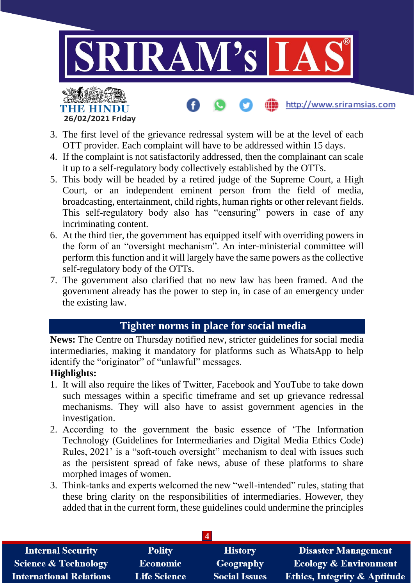

- 3. The first level of the grievance redressal system will be at the level of each OTT provider. Each complaint will have to be addressed within 15 days.
- 4. If the complaint is not satisfactorily addressed, then the complainant can scale it up to a self-regulatory body collectively established by the OTTs.
- 5. This body will be headed by a retired judge of the Supreme Court, a High Court, or an independent eminent person from the field of media, broadcasting, entertainment, child rights, human rights or other relevant fields. This self-regulatory body also has "censuring" powers in case of any incriminating content.
- 6. At the third tier, the government has equipped itself with overriding powers in the form of an "oversight mechanism". An inter-ministerial committee will perform this function and it will largely have the same powers as the collective self-regulatory body of the OTTs.
- 7. The government also clarified that no new law has been framed. And the government already has the power to step in, in case of an emergency under the existing law.

## **Tighter norms in place for social media**

**News:** The Centre on Thursday notified new, stricter guidelines for social media intermediaries, making it mandatory for platforms such as WhatsApp to help identify the "originator" of "unlawful" messages.

#### **Highlights:**

- 1. It will also require the likes of Twitter, Facebook and YouTube to take down such messages within a specific timeframe and set up grievance redressal mechanisms. They will also have to assist government agencies in the investigation.
- 2. According to the government the basic essence of 'The Information Technology (Guidelines for Intermediaries and Digital Media Ethics Code) Rules, 2021' is a "soft-touch oversight" mechanism to deal with issues such as the persistent spread of fake news, abuse of these platforms to share morphed images of women.
- 3. Think-tanks and experts welcomed the new "well-intended" rules, stating that these bring clarity on the responsibilities of intermediaries. However, they added that in the current form, these guidelines could undermine the principles

| <b>Internal Security</b>        | <b>Polity</b>       | <b>History</b>       | <b>Disaster Management</b>              |
|---------------------------------|---------------------|----------------------|-----------------------------------------|
| <b>Science &amp; Technology</b> | Economic            | Geography            | <b>Ecology &amp; Environment</b>        |
| <b>International Relations</b>  | <b>Life Science</b> | <b>Social Issues</b> | <b>Ethics, Integrity &amp; Aptitude</b> |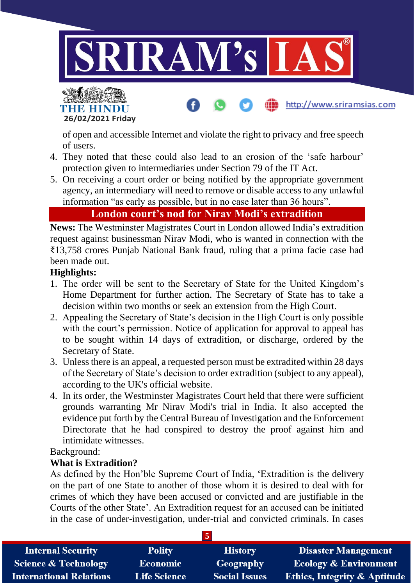

of open and accessible Internet and violate the right to privacy and free speech of users.

- 4. They noted that these could also lead to an erosion of the 'safe harbour' protection given to intermediaries under Section 79 of the IT Act.
- 5. On receiving a court order or being notified by the appropriate government agency, an intermediary will need to remove or disable access to any unlawful information "as early as possible, but in no case later than 36 hours".

#### **London court's nod for Nirav Modi's extradition**

**News:** The Westminster Magistrates Court in London allowed India's extradition request against businessman Nirav Modi, who is wanted in connection with the ₹13,758 crores Punjab National Bank fraud, ruling that a prima facie case had been made out.

#### **Highlights:**

**26/02/2021 Friday**

THE HINDI

- 1. The order will be sent to the Secretary of State for the United Kingdom's Home Department for further action. The Secretary of State has to take a decision within two months or seek an extension from the High Court.
- 2. Appealing the Secretary of State's decision in the High Court is only possible with the court's permission. Notice of application for approval to appeal has to be sought within 14 days of extradition, or discharge, ordered by the Secretary of State.
- 3. Unless there is an appeal, a requested person must be extradited within 28 days of the Secretary of State's decision to order extradition (subject to any appeal), according to the UK's official website.
- 4. In its order, the Westminster Magistrates Court held that there were sufficient grounds warranting Mr Nirav Modi's trial in India. It also accepted the evidence put forth by the Central Bureau of Investigation and the Enforcement Directorate that he had conspired to destroy the proof against him and intimidate witnesses.

Background:

#### **What is Extradition?**

As defined by the Hon'ble Supreme Court of India, 'Extradition is the delivery on the part of one State to another of those whom it is desired to deal with for crimes of which they have been accused or convicted and are justifiable in the Courts of the other State'. An Extradition request for an accused can be initiated in the case of under-investigation, under-trial and convicted criminals. In cases

| <b>Internal Security</b>        | <b>Polity</b>       | <b>History</b>       | <b>Disaster Management</b>              |
|---------------------------------|---------------------|----------------------|-----------------------------------------|
| <b>Science &amp; Technology</b> | <b>Economic</b>     | Geography            | <b>Ecology &amp; Environment</b>        |
| <b>International Relations</b>  | <b>Life Science</b> | <b>Social Issues</b> | <b>Ethics, Integrity &amp; Aptitude</b> |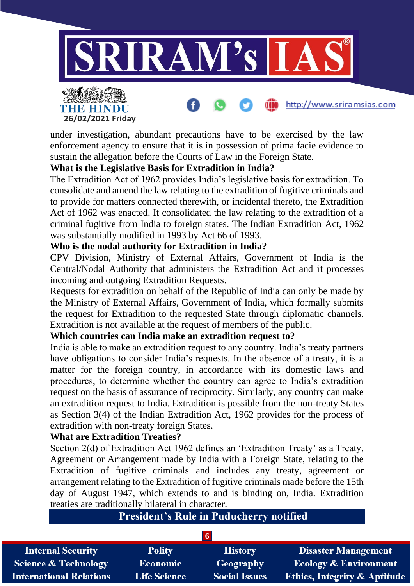

http://www.sriramsias.com



#### **What is the Legislative Basis for Extradition in India?**

**26/02/2021 Friday**

**THE HINDU** 

The Extradition Act of 1962 provides India's legislative basis for extradition. To consolidate and amend the law relating to the extradition of fugitive criminals and to provide for matters connected therewith, or incidental thereto, the Extradition Act of 1962 was enacted. It consolidated the law relating to the extradition of a criminal fugitive from India to foreign states. The Indian Extradition Act, 1962 was substantially modified in 1993 by Act 66 of 1993.

#### **Who is the nodal authority for Extradition in India?**

CPV Division, Ministry of External Affairs, Government of India is the Central/Nodal Authority that administers the Extradition Act and it processes incoming and outgoing Extradition Requests.

Requests for extradition on behalf of the Republic of India can only be made by the Ministry of External Affairs, Government of India, which formally submits the request for Extradition to the requested State through diplomatic channels. Extradition is not available at the request of members of the public.

#### **Which countries can India make an extradition request to?**

India is able to make an extradition request to any country. India's treaty partners have obligations to consider India's requests. In the absence of a treaty, it is a matter for the foreign country, in accordance with its domestic laws and procedures, to determine whether the country can agree to India's extradition request on the basis of assurance of reciprocity. Similarly, any country can make an extradition request to India. Extradition is possible from the non-treaty States as Section 3(4) of the Indian Extradition Act, 1962 provides for the process of extradition with non-treaty foreign States.

#### **What are Extradition Treaties?**

Section 2(d) of Extradition Act 1962 defines an 'Extradition Treaty' as a Treaty, Agreement or Arrangement made by India with a Foreign State, relating to the Extradition of fugitive criminals and includes any treaty, agreement or arrangement relating to the Extradition of fugitive criminals made before the 15th day of August 1947, which extends to and is binding on, India. Extradition treaties are traditionally bilateral in character.

## **President's Rule in Puducherry notified**

| <b>Internal Security</b>        | <b>Polity</b>       | <b>History</b>       | <b>Disaster Management</b>              |
|---------------------------------|---------------------|----------------------|-----------------------------------------|
| <b>Science &amp; Technology</b> | <b>Economic</b>     | Geography            | <b>Ecology &amp; Environment</b>        |
| <b>International Relations</b>  | <b>Life Science</b> | <b>Social Issues</b> | <b>Ethics, Integrity &amp; Aptitude</b> |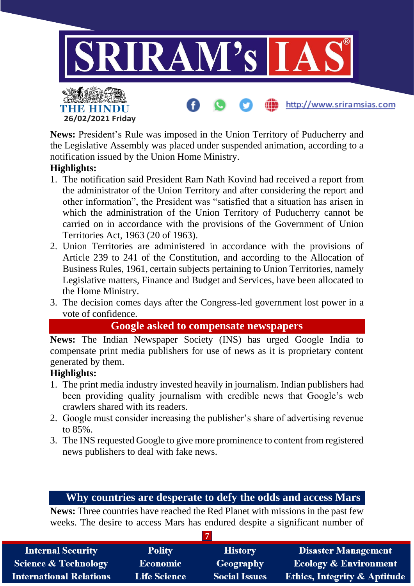

**News:** President's Rule was imposed in the Union Territory of Puducherry and the Legislative Assembly was placed under suspended animation, according to a notification issued by the Union Home Ministry.

### **Highlights:**

- 1. The notification said President Ram Nath Kovind had received a report from the administrator of the Union Territory and after considering the report and other information", the President was "satisfied that a situation has arisen in which the administration of the Union Territory of Puducherry cannot be carried on in accordance with the provisions of the Government of Union Territories Act, 1963 (20 of 1963).
- 2. Union Territories are administered in accordance with the provisions of Article 239 to 241 of the Constitution, and according to the Allocation of Business Rules, 1961, certain subjects pertaining to Union Territories, namely Legislative matters, Finance and Budget and Services, have been allocated to the Home Ministry.
- 3. The decision comes days after the Congress-led government lost power in a vote of confidence.

### **Google asked to compensate newspapers**

**News:** The Indian Newspaper Society (INS) has urged Google India to compensate print media publishers for use of news as it is proprietary content generated by them.

#### **Highlights:**

- 1. The print media industry invested heavily in journalism. Indian publishers had been providing quality journalism with credible news that Google's web crawlers shared with its readers.
- 2. Google must consider increasing the publisher's share of advertising revenue to 85%.
- 3. The INS requested Google to give more prominence to content from registered news publishers to deal with fake news.

#### **Why countries are desperate to defy the odds and access Mars**

**News:** Three countries have reached the Red Planet with missions in the past few weeks. The desire to access Mars has endured despite a significant number of

| <b>Internal Security</b>        | <b>Polity</b>       | <b>History</b>       | <b>Disaster Management</b>              |
|---------------------------------|---------------------|----------------------|-----------------------------------------|
| <b>Science &amp; Technology</b> | Economic            | Geography            | <b>Ecology &amp; Environment</b>        |
| <b>International Relations</b>  | <b>Life Science</b> | <b>Social Issues</b> | <b>Ethics, Integrity &amp; Aptitude</b> |